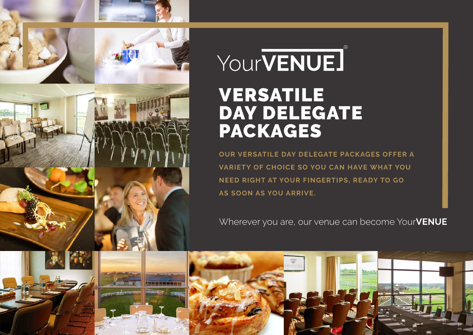

# YourVENUE] VERSATILE DAY DELEGATE PACKAGES

**OUR VERSATILE DAY DELEGATE PACKAGES OFFER A VARIETY OF CHOICE SO YOU CAN HAVE WHAT YOU NEED RIGHT AT YOUR FINGERTIPS, READY TO GO AS SOON AS YOU ARRIVE.** 

Wherever you are, our venue can become Your**VENUE**